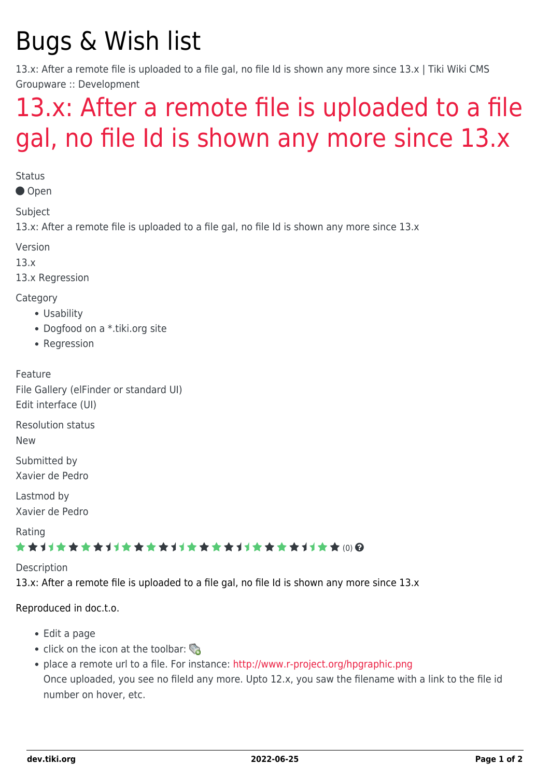# Bugs & Wish list

13.x: After a remote file is uploaded to a file gal, no file Id is shown any more since 13.x | Tiki Wiki CMS Groupware :: Development

## [13.x: After a remote file is uploaded to a file](https://dev.tiki.org/item5409-13-x-After-a-remote-file-is-uploaded-to-a-file-gal-no-file-Id-is-shown-any-more-since-13-x) [gal, no file Id is shown any more since 13.x](https://dev.tiki.org/item5409-13-x-After-a-remote-file-is-uploaded-to-a-file-gal-no-file-Id-is-shown-any-more-since-13-x)

**Status** 

Open

Subject

13.x: After a remote file is uploaded to a file gal, no file Id is shown any more since 13.x

Version

13.x

13.x Regression

Category

- Usability
- Dogfood on a \*.tiki.org site
- Regression

Feature File Gallery (elFinder or standard UI) Edit interface (UI)

Resolution status

New

Submitted by Xavier de Pedro

Lastmod by Xavier de Pedro

Rating

#### ★★11★★★★11★★★★11★★★★11★★★★11★★ (0) @

Description

13.x: After a remote file is uploaded to a file gal, no file Id is shown any more since 13.x

#### Reproduced in doc.t.o.

- Edit a page
- click on the icon at the toolbar:
- place a remote url to a file. For instance:<http://www.r-project.org/hpgraphic.png> Once uploaded, you see no fileId any more. Upto 12.x, you saw the filename with a link to the file id number on hover, etc.